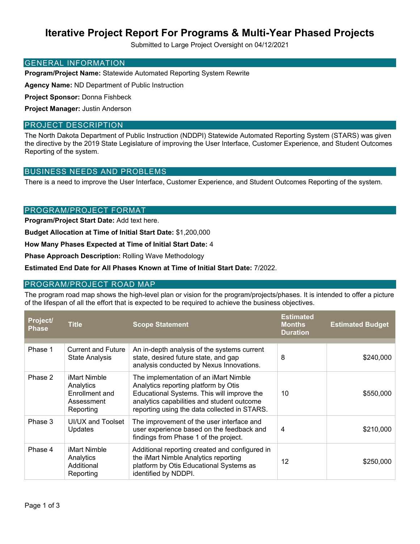## **Iterative Project Report For Programs & Multi-Year Phased Projects**

Submitted to Large Project Oversight on 04/12/2021

#### GENERAL INFORMATION

**Program/Project Name:** Statewide Automated Reporting System Rewrite

**Agency Name:** ND Department of Public Instruction

**Project Sponsor:** Donna Fishbeck

**Project Manager:** Justin Anderson

#### PROJECT DESCRIPTION

The North Dakota Department of Public Instruction (NDDPI) Statewide Automated Reporting System (STARS) was given the directive by the 2019 State Legislature of improving the User Interface, Customer Experience, and Student Outcomes Reporting of the system.

## BUSINESS NEEDS AND PROBLEMS

There is a need to improve the User Interface, Customer Experience, and Student Outcomes Reporting of the system.

#### PROGRAM/PROJECT FORMAT

**Program/Project Start Date:** Add text here.

**Budget Allocation at Time of Initial Start Date:** \$1,200,000

**How Many Phases Expected at Time of Initial Start Date:** 4

**Phase Approach Description:** Rolling Wave Methodology

**Estimated End Date for All Phases Known at Time of Initial Start Date:** 7/2022.

#### PROGRAM/PROJECT ROAD MAP

The program road map shows the high-level plan or vision for the program/projects/phases. It is intended to offer a picture of the lifespan of all the effort that is expected to be required to achieve the business objectives.

| Project/<br><b>Phase</b> | <b>Title</b>                                                           | <b>Scope Statement</b>                                                                                                                                                                                                    | <b>Estimated</b><br><b>Months</b><br><b>Duration</b> | <b>Estimated Budget</b> |
|--------------------------|------------------------------------------------------------------------|---------------------------------------------------------------------------------------------------------------------------------------------------------------------------------------------------------------------------|------------------------------------------------------|-------------------------|
|                          |                                                                        |                                                                                                                                                                                                                           |                                                      |                         |
| Phase 1                  | <b>Current and Future</b><br><b>State Analysis</b>                     | An in-depth analysis of the systems current<br>state, desired future state, and gap<br>analysis conducted by Nexus Innovations.                                                                                           | 8                                                    | \$240,000               |
| Phase 2                  | iMart Nimble<br>Analytics<br>Enrollment and<br>Assessment<br>Reporting | The implementation of an iMart Nimble<br>Analytics reporting platform by Otis<br>Educational Systems. This will improve the<br>analytics capabilities and student outcome<br>reporting using the data collected in STARS. | 10                                                   | \$550,000               |
| Phase 3                  | UI/UX and Toolset<br>Updates                                           | The improvement of the user interface and<br>user experience based on the feedback and<br>findings from Phase 1 of the project.                                                                                           | 4                                                    | \$210,000               |
| Phase 4                  | iMart Nimble<br>Analytics<br>Additional<br>Reporting                   | Additional reporting created and configured in<br>the iMart Nimble Analytics reporting<br>platform by Otis Educational Systems as<br>identified by NDDPI.                                                                 | 12                                                   | \$250,000               |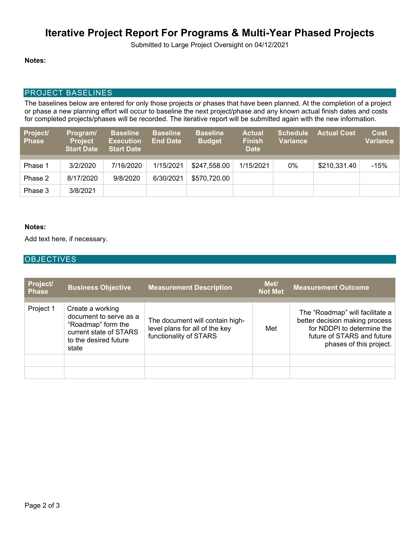# **Iterative Project Report For Programs & Multi-Year Phased Projects**

Submitted to Large Project Oversight on 04/12/2021

#### **Notes:**

## PROJECT BASELINES

The baselines below are entered for only those projects or phases that have been planned. At the completion of a project or phase a new planning effort will occur to baseline the next project/phase and any known actual finish dates and costs for completed projects/phases will be recorded. The iterative report will be submitted again with the new information.

| Project/<br><b>Phase</b> | Program/<br><b>Project</b><br><b>Start Date</b> | <b>Baseline</b><br><b>Execution</b><br><b>Start Date</b> | <b>Baseline</b><br><b>End Date</b> | <b>Baseline</b><br><b>Budget</b> | <b>Actual</b><br><b>Finish</b><br><b>Date</b> | <b>Schedule</b><br><b>Variance</b> | <b>Actual Cost</b> | <b>Cost</b><br>Variance |
|--------------------------|-------------------------------------------------|----------------------------------------------------------|------------------------------------|----------------------------------|-----------------------------------------------|------------------------------------|--------------------|-------------------------|
|                          |                                                 |                                                          |                                    |                                  |                                               |                                    |                    |                         |
| Phase 1                  | 3/2/2020                                        | 7/16/2020                                                | 1/15/2021                          | \$247,558.00                     | 1/15/2021                                     | 0%                                 | \$210,331.40       | $-15%$                  |
| Phase 2                  | 8/17/2020                                       | 9/8/2020                                                 | 6/30/2021                          | \$570,720.00                     |                                               |                                    |                    |                         |
| Phase 3                  | 3/8/2021                                        |                                                          |                                    |                                  |                                               |                                    |                    |                         |

#### **Notes:**

Add text here, if necessary.

## **OBJECTIVES**

| <b>Project/</b><br><b>Phase</b> | <b>Business Objective</b>                                                                                                    | <b>Measurement Description</b>                                                              | Met/<br><b>Not Met</b> | <b>Measurement Outcome</b>                                                                                                                               |
|---------------------------------|------------------------------------------------------------------------------------------------------------------------------|---------------------------------------------------------------------------------------------|------------------------|----------------------------------------------------------------------------------------------------------------------------------------------------------|
| Project 1                       | Create a working<br>document to serve as a<br>"Roadmap" form the<br>current state of STARS<br>to the desired future<br>state | The document will contain high-<br>level plans for all of the key<br>functionality of STARS | Met                    | The "Roadmap" will facilitate a<br>better decision making process<br>for NDDPI to determine the<br>future of STARS and future<br>phases of this project. |
|                                 |                                                                                                                              |                                                                                             |                        |                                                                                                                                                          |
|                                 |                                                                                                                              |                                                                                             |                        |                                                                                                                                                          |